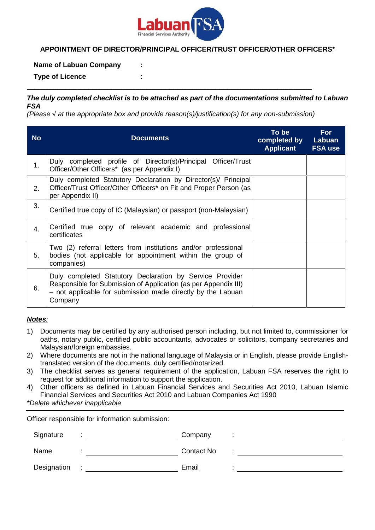

## **APPOINTMENT OF DIRECTOR/PRINCIPAL OFFICER/TRUST OFFICER/OTHER OFFICERS\***

### **Name of Labuan Company :**

**Type of Licence :**

### *The duly completed checklist is to be attached as part of the documentations submitted to Labuan FSA*

**\_\_\_\_\_\_\_\_\_\_\_\_\_\_\_\_\_\_\_\_\_\_\_\_\_\_\_\_\_\_\_\_\_\_\_\_\_\_\_\_\_\_\_\_\_\_\_\_\_\_\_\_\_\_\_\_\_\_\_\_\_\_\_\_\_\_\_\_\_\_\_\_\_\_**

*(Please √ at the appropriate box and provide reason(s)/justification(s) for any non-submission)*

| <b>No</b> | <b>Documents</b>                                                                                                                                                                                      | To be<br>completed by<br><b>Applicant</b> | For<br>Labuan<br><b>FSA use</b> |
|-----------|-------------------------------------------------------------------------------------------------------------------------------------------------------------------------------------------------------|-------------------------------------------|---------------------------------|
| 1.        | Duly completed profile of Director(s)/Principal Officer/Trust<br>Officer/Other Officers* (as per Appendix I)                                                                                          |                                           |                                 |
| 2.        | Duly completed Statutory Declaration by Director(s)/ Principal<br>Officer/Trust Officer/Other Officers* on Fit and Proper Person (as<br>per Appendix II)                                              |                                           |                                 |
| 3.        | Certified true copy of IC (Malaysian) or passport (non-Malaysian)                                                                                                                                     |                                           |                                 |
| 4.        | Certified true copy of relevant academic and professional<br>certificates                                                                                                                             |                                           |                                 |
| 5.        | Two (2) referral letters from institutions and/or professional<br>bodies (not applicable for appointment within the group of<br>companies)                                                            |                                           |                                 |
| 6.        | Duly completed Statutory Declaration by Service Provider<br>Responsible for Submission of Application (as per Appendix III)<br>- not applicable for submission made directly by the Labuan<br>Company |                                           |                                 |

#### *Notes:*

- 1) Documents may be certified by any authorised person including, but not limited to, commissioner for oaths, notary public, certified public accountants, advocates or solicitors, company secretaries and Malaysian/foreign embassies.
- 2) Where documents are not in the national language of Malaysia or in English, please provide Englishtranslated version of the documents, duly certified/notarized.
- 3) The checklist serves as general requirement of the application, Labuan FSA reserves the right to request for additional information to support the application.
- 4) Other officers as defined in Labuan Financial Services and Securities Act 2010, Labuan Islamic Financial Services and Securities Act 2010 and Labuan Companies Act 1990

*\*Delete whichever inapplicable*

Officer responsible for information submission:

| Signature   | Company           |  |
|-------------|-------------------|--|
| Name        | <b>Contact No</b> |  |
| Designation | Email             |  |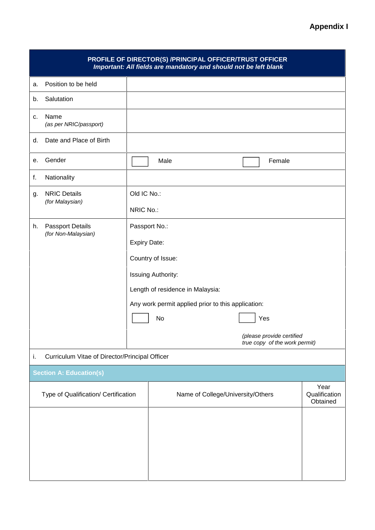| PROFILE OF DIRECTOR(S) /PRINCIPAL OFFICER/TRUST OFFICER<br>Important: All fields are mandatory and should not be left blank |                                                |                                                                                                              |      |                                   |  |                                                            |  |
|-----------------------------------------------------------------------------------------------------------------------------|------------------------------------------------|--------------------------------------------------------------------------------------------------------------|------|-----------------------------------|--|------------------------------------------------------------|--|
| a.                                                                                                                          | Position to be held                            |                                                                                                              |      |                                   |  |                                                            |  |
| b.                                                                                                                          | Salutation                                     |                                                                                                              |      |                                   |  |                                                            |  |
| c.                                                                                                                          | Name<br>(as per NRIC/passport)                 |                                                                                                              |      |                                   |  |                                                            |  |
| d.                                                                                                                          | Date and Place of Birth                        |                                                                                                              |      |                                   |  |                                                            |  |
| е.                                                                                                                          | Gender                                         |                                                                                                              | Male |                                   |  | Female                                                     |  |
| f.                                                                                                                          | Nationality                                    |                                                                                                              |      |                                   |  |                                                            |  |
| g.                                                                                                                          | <b>NRIC Details</b>                            | Old IC No.:                                                                                                  |      |                                   |  |                                                            |  |
|                                                                                                                             | (for Malaysian)                                | NRIC No.:                                                                                                    |      |                                   |  |                                                            |  |
| h.                                                                                                                          | <b>Passport Details</b>                        | Passport No.:                                                                                                |      |                                   |  |                                                            |  |
|                                                                                                                             | (for Non-Malaysian)                            | <b>Expiry Date:</b>                                                                                          |      |                                   |  |                                                            |  |
|                                                                                                                             |                                                | Country of Issue:                                                                                            |      |                                   |  |                                                            |  |
|                                                                                                                             |                                                |                                                                                                              |      |                                   |  |                                                            |  |
|                                                                                                                             |                                                | Issuing Authority:<br>Length of residence in Malaysia:<br>Any work permit applied prior to this application: |      |                                   |  |                                                            |  |
|                                                                                                                             |                                                |                                                                                                              |      |                                   |  |                                                            |  |
|                                                                                                                             |                                                |                                                                                                              | No   |                                   |  | Yes                                                        |  |
|                                                                                                                             |                                                |                                                                                                              |      |                                   |  |                                                            |  |
|                                                                                                                             |                                                |                                                                                                              |      |                                   |  | (please provide certified<br>true copy of the work permit) |  |
| i.                                                                                                                          | Curriculum Vitae of Director/Principal Officer |                                                                                                              |      |                                   |  |                                                            |  |
| <b>Section A: Education(s)</b>                                                                                              |                                                |                                                                                                              |      |                                   |  |                                                            |  |
| Type of Qualification/ Certification                                                                                        |                                                | Name of College/University/Others                                                                            |      | Year<br>Qualification<br>Obtained |  |                                                            |  |
|                                                                                                                             |                                                |                                                                                                              |      |                                   |  |                                                            |  |
|                                                                                                                             |                                                |                                                                                                              |      |                                   |  |                                                            |  |
|                                                                                                                             |                                                |                                                                                                              |      |                                   |  |                                                            |  |
|                                                                                                                             |                                                |                                                                                                              |      |                                   |  |                                                            |  |
|                                                                                                                             |                                                |                                                                                                              |      |                                   |  |                                                            |  |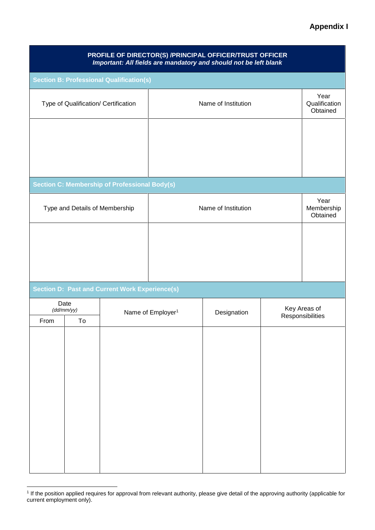## **Appendix I**

| PROFILE OF DIRECTOR(S) /PRINCIPAL OFFICER/TRUST OFFICER<br>Important: All fields are mandatory and should not be left blank |                                |                                                       |                               |                     |  |                                   |  |
|-----------------------------------------------------------------------------------------------------------------------------|--------------------------------|-------------------------------------------------------|-------------------------------|---------------------|--|-----------------------------------|--|
|                                                                                                                             |                                | <b>Section B: Professional Qualification(s)</b>       |                               |                     |  |                                   |  |
| Type of Qualification/ Certification                                                                                        |                                |                                                       | Name of Institution           |                     |  | Year<br>Qualification<br>Obtained |  |
|                                                                                                                             |                                |                                                       |                               |                     |  |                                   |  |
|                                                                                                                             |                                |                                                       |                               |                     |  |                                   |  |
|                                                                                                                             |                                | <b>Section C: Membership of Professional Body(s)</b>  |                               |                     |  |                                   |  |
|                                                                                                                             | Type and Details of Membership |                                                       |                               | Name of Institution |  | Year<br>Membership<br>Obtained    |  |
|                                                                                                                             |                                |                                                       |                               |                     |  |                                   |  |
|                                                                                                                             |                                |                                                       |                               |                     |  |                                   |  |
|                                                                                                                             |                                |                                                       |                               |                     |  |                                   |  |
|                                                                                                                             |                                | <b>Section D: Past and Current Work Experience(s)</b> |                               |                     |  |                                   |  |
| Date<br>(dd/mm/yy)                                                                                                          |                                |                                                       | Name of Employer <sup>1</sup> | Designation         |  | Key Areas of<br>Responsibilities  |  |
| From                                                                                                                        | To                             |                                                       |                               |                     |  |                                   |  |
|                                                                                                                             |                                |                                                       |                               |                     |  |                                   |  |
|                                                                                                                             |                                |                                                       |                               |                     |  |                                   |  |
|                                                                                                                             |                                |                                                       |                               |                     |  |                                   |  |
|                                                                                                                             |                                |                                                       |                               |                     |  |                                   |  |
|                                                                                                                             |                                |                                                       |                               |                     |  |                                   |  |
|                                                                                                                             |                                |                                                       |                               |                     |  |                                   |  |
|                                                                                                                             |                                |                                                       |                               |                     |  |                                   |  |
|                                                                                                                             |                                |                                                       |                               |                     |  |                                   |  |
|                                                                                                                             |                                |                                                       |                               |                     |  |                                   |  |

<sup>1</sup> If the position applied requires for approval from relevant authority, please give detail of the approving authority (applicable for current employment only).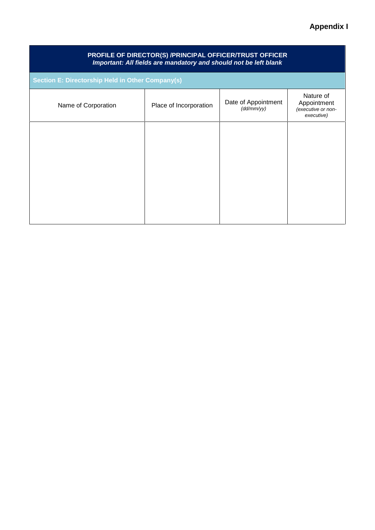# **Appendix I**

| PROFILE OF DIRECTOR(S) /PRINCIPAL OFFICER/TRUST OFFICER<br>Important: All fields are mandatory and should not be left blank |                        |                                     |                                                              |  |  |  |
|-----------------------------------------------------------------------------------------------------------------------------|------------------------|-------------------------------------|--------------------------------------------------------------|--|--|--|
| <b>Section E: Directorship Held in Other Company(s)</b>                                                                     |                        |                                     |                                                              |  |  |  |
| Name of Corporation                                                                                                         | Place of Incorporation | Date of Appointment<br>(d d/mm / y) | Nature of<br>Appointment<br>(executive or non-<br>executive) |  |  |  |
|                                                                                                                             |                        |                                     |                                                              |  |  |  |
|                                                                                                                             |                        |                                     |                                                              |  |  |  |
|                                                                                                                             |                        |                                     |                                                              |  |  |  |
|                                                                                                                             |                        |                                     |                                                              |  |  |  |
|                                                                                                                             |                        |                                     |                                                              |  |  |  |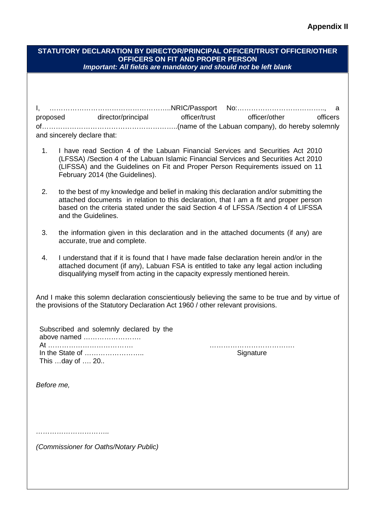### **Appendix II**

| STATUTORY DECLARATION BY DIRECTOR/PRINCIPAL OFFICER/TRUST OFFICER/OTHER |
|-------------------------------------------------------------------------|
| <b>OFFICERS ON FIT AND PROPER PERSON</b>                                |
| Important: All fields are mandatory and should not be left blank        |
|                                                                         |

|                             | I, …………………………………………………………NRIC/Passport No:……………………………………… a |               |               |          |  |
|-----------------------------|-------------------------------------------------------------|---------------|---------------|----------|--|
| proposed                    | director/principal                                          | officer/trust | officer/other | officers |  |
|                             |                                                             |               |               |          |  |
| and sincerely declare that: |                                                             |               |               |          |  |

- 1. I have read Section 4 of the Labuan Financial Services and Securities Act 2010 (LFSSA) /Section 4 of the Labuan Islamic Financial Services and Securities Act 2010 (LIFSSA) and the Guidelines on Fit and Proper Person Requirements issued on 11 February 2014 (the Guidelines).
- 2. to the best of my knowledge and belief in making this declaration and/or submitting the attached documents in relation to this declaration, that I am a fit and proper person based on the criteria stated under the said Section 4 of LFSSA /Section 4 of LIFSSA and the Guidelines.
- 3. the information given in this declaration and in the attached documents (if any) are accurate, true and complete.
- 4. I understand that if it is found that I have made false declaration herein and/or in the attached document (if any), Labuan FSA is entitled to take any legal action including disqualifying myself from acting in the capacity expressly mentioned herein.

And I make this solemn declaration conscientiously believing the same to be true and by virtue of the provisions of the Statutory Declaration Act 1960 / other relevant provisions.

| Subscribed and solemnly declared by the |
|-----------------------------------------|
| above named                             |
|                                         |
|                                         |
| This day of  20                         |

At ………………………………. ………………………………. **Signature** 

*Before me,*

*…………………………..*

*(Commissioner for Oaths/Notary Public)*